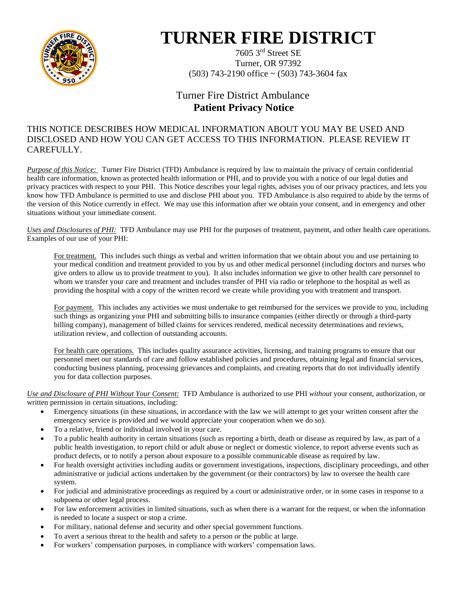

## **TURNER FIRE DISTRICT**

7605 3rd Street SE Turner, OR 97392  $(503)$  743-2190 office ~  $(503)$  743-3604 fax

## Turner Fire District Ambulance  **Patient Privacy Notice**

## THIS NOTICE DESCRIBES HOW MEDICAL INFORMATION ABOUT YOU MAY BE USED AND DISCLOSED AND HOW YOU CAN GET ACCESS TO THIS INFORMATION. PLEASE REVIEW IT CAREFULLY.

*Purpose of this Notice:* Turner Fire District (TFD) Ambulance is required by law to maintain the privacy of certain confidential health care information, known as protected health information or PHI, and to provide you with a notice of our legal duties and privacy practices with respect to your PHI. This Notice describes your legal rights, advises you of our privacy practices, and lets you know how TFD Ambulance is permitted to use and disclose PHI about you. TFD Ambulance is also required to abide by the terms of the version of this Notice currently in effect. We may use this information after we obtain your consent, and in emergency and other situations without your immediate consent.

*Uses and Disclosures of PHI:* TFD Ambulance may use PHI for the purposes of treatment, payment, and other health care operations. Examples of our use of your PHI:

For treatment. This includes such things as verbal and written information that we obtain about you and use pertaining to your medical condition and treatment provided to you by us and other medical personnel (including doctors and nurses who give orders to allow us to provide treatment to you). It also includes information we give to other health care personnel to whom we transfer your care and treatment and includes transfer of PHI via radio or telephone to the hospital as well as providing the hospital with a copy of the written record we create while providing you with treatment and transport.

For payment. This includes any activities we must undertake to get reimbursed for the services we provide to you, including such things as organizing your PHI and submitting bills to insurance companies (either directly or through a third-party billing company), management of billed claims for services rendered, medical necessity determinations and reviews, utilization review, and collection of outstanding accounts.

For health care operations. This includes quality assurance activities, licensing, and training programs to ensure that our personnel meet our standards of care and follow established policies and procedures, obtaining legal and financial services, conducting business planning, processing grievances and complaints, and creating reports that do not individually identify you for data collection purposes.

*Use and Disclosure of PHI Without Your Consent:* TFD Ambulance is authorized to use PHI *without* your consent, authorization, or written permission in certain situations, including:

- Emergency situations (in these situations, in accordance with the law we will attempt to get your written consent after the emergency service is provided and we would appreciate your cooperation when we do so).
- To a relative, friend or individual involved in your care.
- To a public health authority in certain situations (such as reporting a birth, death or disease as required by law, as part of a public health investigation, to report child or adult abuse or neglect or domestic violence, to report adverse events such as product defects, or to notify a person about exposure to a possible communicable disease as required by law.
- For health oversight activities including audits or government investigations, inspections, disciplinary proceedings, and other administrative or judicial actions undertaken by the government (or their contractors) by law to oversee the health care system.
- For judicial and administrative proceedings as required by a court or administrative order, or in some cases in response to a subpoena or other legal process.
- For law enforcement activities in limited situations, such as when there is a warrant for the request, or when the information is needed to locate a suspect or stop a crime.
- For military, national defense and security and other special government functions.
- To avert a serious threat to the health and safety to a person or the public at large.
- For workers' compensation purposes, in compliance with workers' compensation laws.